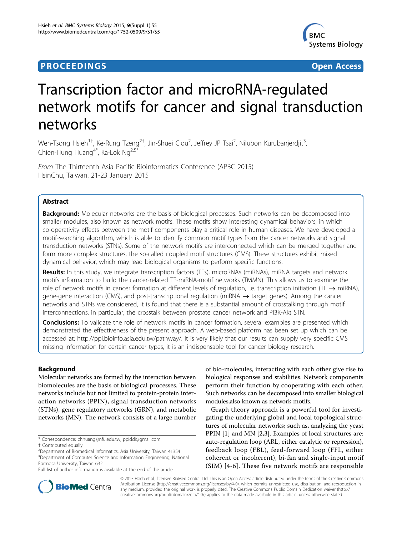# **PROCEEDINGS STATES CONSUMING S** Open Access **CONSUMING S**



# Transcription factor and microRNA-regulated network motifs for cancer and signal transduction networks

Wen-Tsong Hsieh $^{1\dagger}$ , Ke-Rung Tzeng $^{2\dagger}$ , Jin-Shuei Ciou $^2$ , Jeffrey JP Tsai $^2$ , Nilubon Kurubanjerdjit $^3$ , Chien-Hung Huang<sup>4\*</sup>, Ka-Lok Ng<sup>2,5\*</sup>

From The Thirteenth Asia Pacific Bioinformatics Conference (APBC 2015) HsinChu, Taiwan. 21-23 January 2015

# Abstract

**Background:** Molecular networks are the basis of biological processes. Such networks can be decomposed into smaller modules, also known as network motifs. These motifs show interesting dynamical behaviors, in which co-operativity effects between the motif components play a critical role in human diseases. We have developed a motif-searching algorithm, which is able to identify common motif types from the cancer networks and signal transduction networks (STNs). Some of the network motifs are interconnected which can be merged together and form more complex structures, the so-called coupled motif structures (CMS). These structures exhibit mixed dynamical behavior, which may lead biological organisms to perform specific functions.

Results: In this study, we integrate transcription factors (TFs), microRNAs (miRNAs), miRNA targets and network motifs information to build the cancer-related TF-miRNA-motif networks (TMMN). This allows us to examine the role of network motifs in cancer formation at different levels of regulation, i.e. transcription initiation (TF  $\rightarrow$  miRNA), gene-gene interaction (CMS), and post-transcriptional regulation (miRNA  $\rightarrow$  target genes). Among the cancer networks and STNs we considered, it is found that there is a substantial amount of crosstalking through motif interconnections, in particular, the crosstalk between prostate cancer network and PI3K-Akt STN.

**Conclusions:** To validate the role of network motifs in cancer formation, several examples are presented which demonstrated the effectiveness of the present approach. A web-based platform has been set up which can be accessed at: [http://ppi.bioinfo.asia.edu.tw/pathway/.](http://ppi.bioinfo.asia.edu.tw/pathway/) It is very likely that our results can supply very specific CMS missing information for certain cancer types, it is an indispensable tool for cancer biology research.

# Background

Molecular networks are formed by the interaction between biomolecules are the basis of biological processes. These networks include but not limited to protein-protein interaction networks (PPIN), signal transduction networks (STNs), gene regulatory networks (GRN), and metabolic networks (MN). The network consists of a large number

of bio-molecules, interacting with each other give rise to biological responses and stabilities. Network components perform their function by cooperating with each other. Such networks can be decomposed into smaller biological modules,also known as network motifs.

Graph theory approach is a powerful tool for investigating the underlying global and local topological structures of molecular networks; such as, analyzing the yeast PPIN [[1\]](#page-10-0) and MN [\[2](#page-10-0),[3\]](#page-10-0). Examples of local structures are: auto-regulation loop (ARL, either catalytic or repression), feedback loop (FBL), feed-forward loop (FFL, either coherent or incoherent), bi-fan and single-input motif (SIM) [[4](#page-10-0)-[6](#page-10-0)]. These five network motifs are responsible



© 2015 Hsieh et al.; licensee BioMed Central Ltd. This is an Open Access article distributed under the terms of the Creative Commons Attribution License [\(http://creativecommons.org/licenses/by/4.0](http://creativecommons.org/licenses/by/4.0)), which permits unrestricted use, distribution, and reproduction in any medium, provided the original work is properly cited. The Creative Commons Public Domain Dedication waiver [\(http://](http://creativecommons.org/publicdomain/zero/1.0/) [creativecommons.org/publicdomain/zero/1.0/](http://creativecommons.org/publicdomain/zero/1.0/)) applies to the data made available in this article, unless otherwise stated.

<sup>\*</sup> Correspondence: [chhuang@nfu.edu.tw](mailto:chhuang@nfu.edu.tw); [ppiddi@gmail.com](mailto:ppiddi@gmail.com)

<sup>†</sup> Contributed equally <sup>2</sup>

<sup>&</sup>lt;sup>2</sup>Department of Biomedical Informatics, Asia University, Taiwan 41354 4 Department of Computer Science and Information Engineering, National Formosa University, Taiwan 632

Full list of author information is available at the end of the article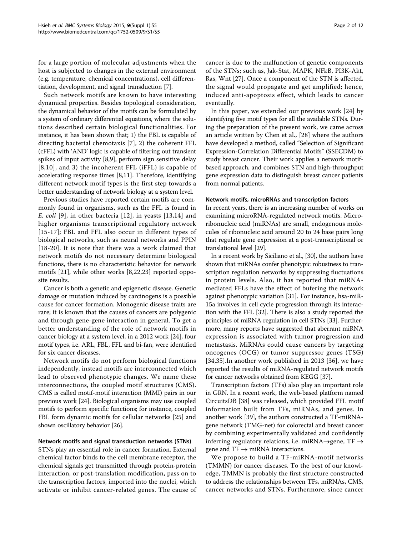for a large portion of molecular adjustments when the host is subjected to changes in the external environment (e.g. temperature, chemical concentrations), cell differentiation, development, and signal transduction [[7\]](#page-10-0).

Such network motifs are known to have interesting dynamical properties. Besides topological consideration, the dynamical behavior of the motifs can be formulated by a system of ordinary differential equations, where the solutions described certain biological functionalities. For instance, it has been shown that; 1) the FBL is capable of directing bacterial chemotaxis [[7\]](#page-10-0), 2) the coherent FFL (cFFL) with 'AND' logic is capable of filtering out transient spikes of input activity [[8,9\]](#page-10-0), perform sign sensitive delay [[8](#page-10-0),[10](#page-10-0)], and 3) the incoherent FFL (iFFL) is capable of accelerating response times [[8,11\]](#page-10-0). Therefore, identifying different network motif types is the first step towards a better understanding of network biology at a system level.

Previous studies have reported certain motifs are commonly found in organisms, such as the FFL is found in E. coli [[9](#page-10-0)], in other bacteria [[12\]](#page-10-0), in yeasts [[13,14](#page-10-0)] and higher organisms transcriptional regulatory network [[15-17\]](#page-10-0); FBL and FFL also occur in different types of biological networks, such as neural networks and PPIN [[18](#page-10-0)-[20\]](#page-10-0). It is note that there was a work claimed that network motifs do not necessary determine biological functions, there is no characteristic behavior for network motifs [[21\]](#page-10-0), while other works [[8,22,23](#page-10-0)] reported opposite results.

Cancer is both a genetic and epigenetic disease. Genetic damage or mutation induced by carcinogens is a possible cause for cancer formation. Monogenic disease traits are rare; it is known that the causes of cancers are polygenic and through gene-gene interaction in general. To get a better understanding of the role of network motifs in cancer biology at a system level, in a 2012 work [[24\]](#page-10-0), four motif types, i.e. ARL, FBL, FFL and bi-fan, were identified for six cancer diseases.

Network motifs do not perform biological functions independently, instead motifs are interconnected which lead to observed phenotypic changes. We name these interconnections, the coupled motif structures (CMS). CMS is called motif-motif interaction (MMI) pairs in our previous work [[24](#page-10-0)]. Biological organisms may use coupled motifs to perform specific functions; for instance, coupled FBL form dynamic motifs for cellular networks [\[25](#page-10-0)] and shown oscillatory behavior [\[26\]](#page-10-0).

### Network motifs and signal transduction networks (STNs)

STNs play an essential role in cancer formation. External chemical factor binds to the cell membrane receptor, the chemical signals get transmitted through protein-protein interaction, or post-translation modification, pass on to the transcription factors, imported into the nuclei, which activate or inhibit cancer-related genes. The cause of cancer is due to the malfunction of genetic components of the STNs; such as, Jak-Stat, MAPK, NFkB, PI3K-Akt, Ras, Wnt [\[27](#page-10-0)]. Once a component of the STN is affected, the signal would propagate and get amplified; hence, induced anti-apoptosis effect, which leads to cancer eventually.

In this paper, we extended our previous work [\[24\]](#page-10-0) by identifying five motif types for all the available STNs. During the preparation of the present work, we came across an article written by Chen et al., [\[28](#page-10-0)] where the authors have developed a method, called "Selection of Significant Expression-Correlation Differential Motifs" (SSECDM) to study breast cancer. Their work applies a network motifbased approach, and combines STN and high-throughput gene expression data to distinguish breast cancer patients from normal patients.

#### Network motifs, microRNAs and transcription factors

In recent years, there is an increasing number of works on examining microRNA-regulated network motifs. Microribonucleic acid (miRNAs) are small, endogenous molecules of ribonucleic acid around 20 to 24 base pairs long that regulate gene expression at a post-transcriptional or translational level [\[29\]](#page-10-0).

In a recent work by Siciliano et al., [\[30\]](#page-10-0), the authors have shown that miRNAs confer phenotypic robustness to transcription regulation networks by suppressing fluctuations in protein levels. Also, it has reported that miRNAmediated FFLs have the effect of bufering the network against phenotypic variation [[31\]](#page-10-0). For instance, hsa-miR-15a involves in cell cycle progression through its interaction with the FFL [\[32](#page-10-0)]. There is also a study reported the principles of miRNA regulation in cell STNs [[33](#page-10-0)]. Furthermore, many reports have suggested that aberrant miRNA expression is associated with tumor progression and metastasis. MiRNAs could cause cancers by targeting oncogenes (OCG) or tumor suppressor genes (TSG) [[34,35](#page-10-0)].In another work published in 2013 [[36\]](#page-10-0), we have reported the results of miRNA-regulated network motifs for cancer networks obtained from KEGG [[37](#page-10-0)].

Transcription factors (TFs) also play an important role in GRN. In a recent work, the web-based platform named CircuitsDB [[38\]](#page-10-0) was released, which provided FFL motif information built from TFs, miRNAs, and genes. In another work [\[39\]](#page-10-0), the authors constructed a TF-miRNAgene network (TMG-net) for colorectal and breast cancer by combining experimentally validated and confidently inferring regulatory relations, i.e. miRNA $\rightarrow$ gene, TF  $\rightarrow$ gene and  $TF \rightarrow m\text{iRNA}$  interactions.

We propose to build a TF-miRNA-motif networks (TMMN) for cancer diseases. To the best of our knowledge, TMMN is probably the first structure constructed to address the relationships between TFs, miRNAs, CMS, cancer networks and STNs. Furthermore, since cancer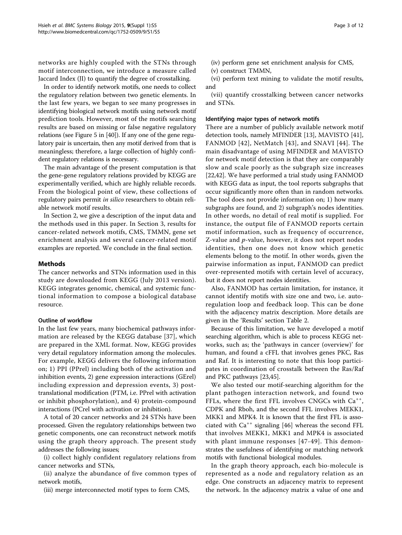networks are highly coupled with the STNs through motif interconnection, we introduce a measure called Jaccard Index (JI) to quantify the degree of crosstalking.

In order to identify network motifs, one needs to collect the regulatory relation between two genetic elements. In the last few years, we began to see many progresses in identifying biological network motifs using network motif prediction tools. However, most of the motifs searching results are based on missing or false negative regulatory relations (see Figure 5 in [\[40\]](#page-11-0)). If any one of the gene regulatory pair is uncertain, then any motif derived from that is meaningless; therefore, a large collection of highly confident regulatory relations is necessary.

The main advantage of the present computation is that the gene-gene regulatory relations provided by KEGG are experimentally verified, which are highly reliable records. From the biological point of view, these collections of regulatory pairs permit in silico researchers to obtain reliable network motif results.

In Section 2, we give a description of the input data and the methods used in this paper. In Section 3, results for cancer-related network motifs, CMS, TMMN, gene set enrichment analysis and several cancer-related motif examples are reported. We conclude in the final section.

# Methods

The cancer networks and STNs information used in this study are downloaded from KEGG (July 2013 version). KEGG integrates genomic, chemical, and systemic functional information to compose a biological database resource.

### Outline of workflow

In the last few years, many biochemical pathways information are released by the KEGG database [\[37\]](#page-10-0), which are prepared in the XML format. Now, KEGG provides very detail regulatory information among the molecules. For example, KEGG delivers the following information on; 1) PPI (PPrel) including both of the activation and inhibition events, 2) gene expression interactions (GErel) including expression and depression events, 3) posttranslational modification (PTM, i.e. PPrel with activation or inhibit phosphorylation), and 4) protein-compound interactions (PCrel with activation or inhibition).

A total of 20 cancer networks and 24 STNs have been processed. Given the regulatory relationships between two genetic components, one can reconstruct network motifs using the graph theory approach. The present study addresses the following issues;

(i) collect highly confident regulatory relations from cancer networks and STNs,

(ii) analyze the abundance of five common types of network motifs,

(iii) merge interconnected motif types to form CMS,

- (iv) perform gene set enrichment analysis for CMS,
- (v) construct TMMN,

(vi) perform text mining to validate the motif results, and

(vii) quantify crosstalking between cancer networks and STNs.

#### Identifying major types of network motifs

There are a number of publicly available network motif detection tools, namely MFINDER [\[13](#page-10-0)], MAVISTO [\[41](#page-11-0)], FANMOD [\[42\]](#page-11-0), NetMatch [[43\]](#page-11-0), and SNAVI [\[44\]](#page-11-0). The main disadvantage of using MFINDER and MAVISTO for network motif detection is that they are comparably slow and scale poorly as the subgraph size increases [[22,](#page-10-0)[42\]](#page-11-0). We have performed a trial study using FANMOD with KEGG data as input, the tool reports subgraphs that occur significantly more often than in random networks. The tool does not provide information on; 1) how many subgraphs are found, and 2) subgraph's nodes identities. In other words, no detail of real motif is supplied. For instance, the output file of FANMOD reports certain motif information, such as frequency of occurrence, Z-value and p-value, however, it does not report nodes identities, then one does not know which genetic elements belong to the motif. In other words, given the pairwise information as input, FANMOD can predict over-represented motifs with certain level of accuracy, but it does not report nodes identities.

Also, FANMOD has certain limitation, for instance, it cannot identify motifs with size one and two, i.e. autoregulation loop and feedback loop. This can be done with the adjacency matrix description. More details are given in the 'Results' section Table [2.](#page-4-0)

Because of this limitation, we have developed a motif searching algorithm, which is able to process KEGG networks, such as; the 'pathways in cancer (overview)' for human, and found a cFFL that involves genes PKC, Ras and Raf. It is interesting to note that this loop participates in coordination of crosstalk between the Ras/Raf and PKC pathways [[23](#page-10-0)[,45](#page-11-0)].

We also tested our motif-searching algorithm for the plant pathogen interaction network, and found two FFLs, where the first FFL involves CNGCs with  $Ca^{++}$ , CDPK and Rboh, and the second FFL involves MEKK1, MKK1 and MPK4. It is known that the first FFL is associated with  $Ca^{++}$  signaling [[46\]](#page-11-0) whereas the second FFL that involves MEKK1, MKK1 and MPK4 is associated with plant immune responses [[47](#page-11-0)-[49](#page-11-0)]. This demonstrates the usefulness of identifying or matching network motifs with functional biological modules.

In the graph theory approach, each bio-molecule is represented as a node and regulatory relation as an edge. One constructs an adjacency matrix to represent the network. In the adjacency matrix a value of one and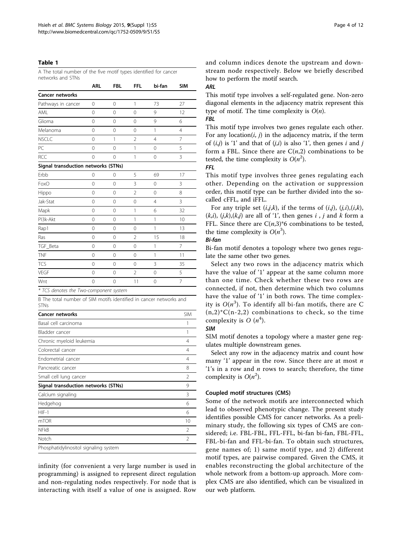#### <span id="page-3-0"></span>Table 1

A The total number of the five motif types identified for cancer networks and STNs

|                                     | ARL            | FBL          | FFL            | bi-fan         | <b>SIM</b>     |
|-------------------------------------|----------------|--------------|----------------|----------------|----------------|
| Cancer networks                     |                |              |                |                |                |
| Pathways in cancer                  | 0              | $\mathbf{0}$ | 1              | 73             | 27             |
| AML                                 | 0              | $\mathbf{0}$ | $\mathbf 0$    | 9              | 12             |
| Glioma                              | $\overline{O}$ | $\mathbf{0}$ | $\overline{0}$ | 9              | 6              |
| Melanoma                            | $\Omega$       | $\mathbf{0}$ | $\mathbf{0}$   | 1              | $\overline{4}$ |
| <b>NSCLC</b>                        | $\Omega$       | $\mathbf{1}$ | $\overline{2}$ | $\overline{4}$ | $\overline{7}$ |
| PC                                  | $\overline{O}$ | $\mathbf{0}$ | $\mathbf{1}$   | 0              | 5              |
| <b>RCC</b>                          | 0              | $\mathbf{0}$ | 1              | 0              | 3              |
| Signal transduction networks (STNs) |                |              |                |                |                |
| Erbb                                | 0              | $\circ$      | 5              | 69             | 17             |
| FoxO                                | $\Omega$       | $\Omega$     | 3              | $\Omega$       | 3              |
| Hippo                               | 0              | $\mathbf{0}$ | $\overline{2}$ | $\Omega$       | 8              |
| Jak-Stat                            | 0              | $\mathbf{0}$ | $\mathbf{0}$   | $\overline{4}$ | 3              |
| Mapk                                | 0              | 0            | 1              | 6              | 32             |
| PI3k-Akt                            | $\mathbf 0$    | $\mathbf{0}$ | $\mathbf{1}$   | 1              | 10             |
| Rap1                                | 0              | $\mathbf{0}$ | $\mathbf{0}$   | 1              | 13             |
| Ras                                 | 0              | $\mathbf{0}$ | $\overline{2}$ | 15             | 18             |
| TGF_Beta                            | 0              | $\mathbf{0}$ | $\mathbf 0$    | 1              | $\overline{7}$ |
| <b>TNF</b>                          | 0              | 0            | $\mathbf{0}$   | 1              | 11             |
| <b>TCS</b>                          | 0              | $\mathbf{0}$ | $\mathbf 0$    | 3              | 35             |
| VEGF                                | $\circ$        | $\circ$      | $\overline{2}$ | 0              | 5              |
| Wnt                                 | $\mathcal{O}$  | $\mathbf{0}$ | 11             | 0              | 7              |

\* TCS denotes the Two-component system

B The total number of SIM motifs identified in cancer networks and STNs

| <b>Cancer networks</b>                | <b>SIM</b>     |
|---------------------------------------|----------------|
| Basal cell carcinoma                  | 1              |
| Bladder cancer                        |                |
| Chronic myeloid leukemia              | 4              |
| Colorectal cancer                     | 4              |
| Endometrial cancer                    | 4              |
| Pancreatic cancer                     | 8              |
| Small cell lung cancer                | $\mathfrak{D}$ |
| Signal transduction networks (STNs)   | 9              |
| Calcium signaling                     | 3              |
| Hedgehog                              | 6              |
| $HIF-1$                               | 6              |
| mTOR                                  | 10             |
| <b>NFKB</b>                           | 2              |
| Notch                                 | $\mathcal{P}$  |
| Phosphatidylinositol signaling system |                |

infinity (for convenient a very large number is used in programming) is assigned to represent direct regulation and non-regulating nodes respectively. For node that is interacting with itself a value of one is assigned. Row and column indices denote the upstream and downstream node respectively. Below we briefly described how to perform the motif search.

#### ARL

This motif type involves a self-regulated gene. Non-zero diagonal elements in the adjacency matrix represent this type of motif. The time complexity is  $O(n)$ . FBL

# This motif type involves two genes regulate each other. For any location $(i, j)$  in the adjacency matrix, if the term of  $(i,j)$  is '1' and that of  $(j,i)$  is also '1', then genes i and j form a FBL. Since there are  $C(n,2)$  combinations to be tested, the time complexity is  $O(n^2)$ .

FFL

This motif type involves three genes regulating each other. Depending on the activation or suppression order, this motif type can be further divided into the socalled cFFL, and iFFL.

For any triple set  $(i,j,k)$ , if the terms of  $(i,j)$ ,  $(j,i)$ ,  $(i,k)$ ,  $(k,i)$ ,  $(j,k)$ ,  $(k,j)$  are all of '1', then genes i, j and k form a FFL. Since there are  $C(n,3)^*$ 6 combinations to be tested, the time complexity is  $O(n^3)$ .

#### Bi-fan

Bi-fan motif denotes a topology where two genes regulate the same other two genes.

Select any two rows in the adjacency matrix which have the value of '1' appear at the same column more than one time. Check whether these two rows are connected, if not, then determine which two columns have the value of '1' in both rows. The time complexity is  $O(n^3)$ . To identify all bi-fan motifs, there are C  $(n,2)^*C(n-2,2)$  combinations to check, so the time complexity is  $O(n^4)$ .

## SIM

SIM motif denotes a topology where a master gene regulates multiple downstream genes.

Select any row in the adjacency matrix and count how many '1' appear in the row. Since there are at most  $n$ '1's in a row and  $n$  rows to search; therefore, the time complexity is  $O(n^2)$ .

# Coupled motif structures (CMS)

Some of the network motifs are interconnected which lead to observed phenotypic change. The present study identifies possible CMS for cancer networks. As a preliminary study, the following six types of CMS are considered; i.e. FBL-FBL, FFL-FFL, bi-fan bi-fan, FBL-FFL, FBL-bi-fan and FFL-bi-fan. To obtain such structures, gene names of; 1) same motif type, and 2) different motif types, are pairwise compared. Given the CMS, it enables reconstructing the global architecture of the whole network from a bottom-up approach. More complex CMS are also identified, which can be visualized in our web platform.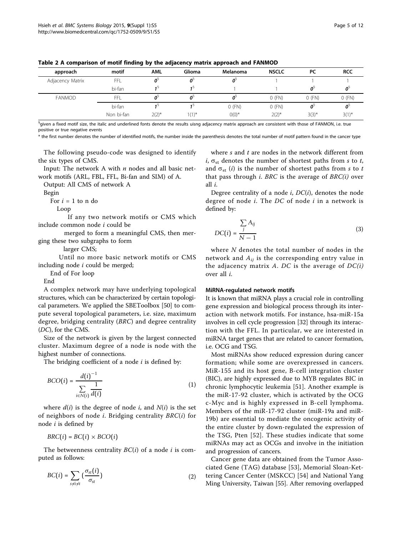| approach         | motif      | <b>AML</b>     | Glioma     | Melanoma   | <b>NSCLC</b> | PC         | <b>RCC</b> |
|------------------|------------|----------------|------------|------------|--------------|------------|------------|
| Adjacency Matrix | FFL        |                |            |            |              |            |            |
|                  | bi-fan     |                |            |            |              |            |            |
| <b>FANMOD</b>    | FFL        | О <sup>э</sup> |            |            | $O$ (FN)     | $O$ (FN)   | $O$ (FN)   |
|                  | bi-fan     |                |            | $O$ (FN)   | $O$ (FN)     |            |            |
|                  | Non bi-fan | $2(2)$ *       | $1(1)^{*}$ | $0(0)^{*}$ | $2(2)^{*}$   | $3(3)^{*}$ | $3(1)^{*}$ |

<span id="page-4-0"></span>Table 2 A comparison of motif finding by the adjacency matrix approach and FANMOD

 $^{\S}$ given a fixed motif size, the italic and underlined fonts denote the results uisng adjacency matrix approach are consistent with those of FANMON, i.e. true positive or true negative events

\* the first number denotes the number of identified motifs, the number inside the parenthesis denotes the total number of motif pattern found in the cancer type

The following pseudo-code was designed to identify the six types of CMS.

Input: The network A with  $n$  nodes and all basic network motifs (ARL, FBL, FFL, Bi-fan and SIM) of A.

Output: All CMS of network A

Begin

For  $i = 1$  to n do

Loop

If any two network motifs or CMS which include common node i could be

merged to form a meaningful CMS, then merging these two subgraphs to form

larger CMS;

Until no more basic network motifs or CMS including node  $i$  could be merged;

End of For loop

End

A complex network may have underlying topological structures, which can be characterized by certain topological parameters. We applied the SBEToolbox [\[50](#page-11-0)] to compute several topological parameters, i.e. size, maximum degree, bridging centrality (BRC) and degree centrality (DC), for the CMS.

Size of the network is given by the largest connected cluster. Maximum degree of a node is node with the highest number of connections.

The bridging coefficient of a node  $i$  is defined by:

$$
BCO(i) = \frac{d(i)^{-1}}{\sum\limits_{i \in N(i)} \frac{1}{d(i)}}\tag{1}
$$

where  $d(i)$  is the degree of node i, and  $N(i)$  is the set of neighbors of node *i*. Bridging centrality  $BRC(i)$  for node  $i$  is defined by

$$
BRC(i) = BC(i) \times BCO(i)
$$

The betweenness centrality  $BC(i)$  of a node i is computed as follows:

$$
BC(i) = \sum_{s \neq i \neq t} \left( \frac{\sigma_{st}(i)}{\sigma_{st}} \right)
$$
 (2)

where  $s$  and  $t$  are nodes in the network different from i,  $\sigma_{st}$  denotes the number of shortest paths from s to t, and  $\sigma_{st}$  (i) is the number of shortest paths from s to t that pass through *i. BRC* is the average of  $BRC(i)$  over all i.

Degree centrality of a node  $i$ ,  $DC(i)$ , denotes the node degree of node  $i$ . The  $DC$  of node  $i$  in a network is defined by:

$$
DC(i) = \frac{\sum_{j} A_{ij}}{N-1}
$$
 (3)

where N denotes the total number of nodes in the network and  $A_{ij}$  is the corresponding entry value in the adjacency matrix  $A$ . DC is the average of  $DC(i)$ over all i.

#### MiRNA-regulated network motifs

It is known that miRNA plays a crucial role in controlling gene expression and biological process through its interaction with network motifs. For instance, hsa-miR-15a involves in cell cycle progression [[32\]](#page-10-0) through its interaction with the FFL. In particular, we are interested in miRNA target genes that are related to cancer formation, i.e. OCG and TSG.

Most miRNAs show reduced expression during cancer formation; while some are overexpressed in cancers. MiR-155 and its host gene, B-cell integration cluster (BIC), are highly expressed due to MYB regulates BIC in chronic lymphocytic leukemia [\[51](#page-11-0)]. Another example is the miR-17-92 cluster, which is activated by the OCG c-Myc and is highly expressed in B-cell lymphoma. Members of the miR-17-92 cluster (miR-19a and miR-19b) are essential to mediate the oncogenic activity of the entire cluster by down-regulated the expression of the TSG, Pten [\[52\]](#page-11-0). These studies indicate that some miRNAs may act as OCGs and involve in the initiation and progression of cancers.

Cancer gene data are obtained from the Tumor Associated Gene (TAG) database [[53\]](#page-11-0), Memorial Sloan-Kettering Cancer Center (MSKCC) [[54\]](#page-11-0) and National Yang Ming University, Taiwan [\[55](#page-11-0)]. After removing overlapped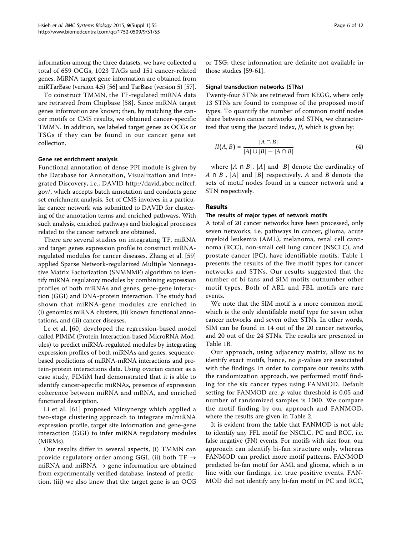information among the three datasets, we have collected a total of 659 OCGs, 1023 TAGs and 151 cancer-related genes. MiRNA target gene information are obtained from miRTarBase (version 4.5) [[56](#page-11-0)] and TarBase (version 5) [\[57](#page-11-0)].

To construct TMMN, the TF-regulated miRNA data are retrieved from Chipbase [[58\]](#page-11-0). Since miRNA target genes information are known; then, by matching the cancer motifs or CMS results, we obtained cancer-specific TMMN. In addition, we labeled target genes as OCGs or TSGs if they can be found in our cancer gene set collection.

### Gene set enrichment analysis

Functional annotation of dense PPI module is given by the Database for Annotation, Visualization and Integrated Discovery, i.e., DAVID [http://david.abcc.ncifcrf.](http://david.abcc.ncifcrf.gov/) [gov/,](http://david.abcc.ncifcrf.gov/) which accepts batch annotation and conducts gene set enrichment analysis. Set of CMS involves in a particular cancer network was submitted to DAVID for clustering of the annotation terms and enriched pathways. With such analysis, enriched pathways and biological processes related to the cancer network are obtained.

There are several studies on integrating TF, miRNA and target genes expression profile to construct miRNAregulated modules for cancer diseases. Zhang et al. [\[59](#page-11-0)] applied Sparse Network-regularized Multiple Nonnegative Matrix Factorization (SNMNMF) algorithm to identify miRNA regulatory modules by combining expression profiles of both miRNAs and genes, gene-gene interaction (GGI) and DNA-protein interaction. The study had shown that miRNA-gene modules are enriched in (i) genomics miRNA clusters, (ii) known functional annotations, and (iii) cancer diseases.

Le et al. [[60\]](#page-11-0) developed the regression-based model called PIMiM (Protein Interaction-based MicroRNA Modules) to predict miRNA-regulated modules by integrating expression profiles of both miRNAs and genes, sequencebased predictions of miRNA-mRNA interactions and protein-protein interactions data. Using ovarian cancer as a case study, PIMiM had demonstrated that it is able to identify cancer-specific miRNAs, presence of expression coherence between miRNA and mRNA, and enriched functional description.

Li et al. [[61\]](#page-11-0) proposed Mirsynergy which applied a two-stage clustering approach to integrate m/miRNA expression profile, target site information and gene-gene interaction (GGI) to infer miRNA regulatory modules (MiRMs).

Our results differ in several aspects, (i) TMMN can provide regulatory order among GGI, (ii) both TF  $\rightarrow$ miRNA and miRNA  $\rightarrow$  gene information are obtained from experimentally verified database, instead of prediction, (iii) we also knew that the target gene is an OCG or TSG; these information are definite not available in those studies [\[59-61](#page-11-0)].

#### Signal transduction networks (STNs)

Twenty-four STNs are retrieved from KEGG, where only 13 STNs are found to compose of the proposed motif types. To quantify the number of common motif nodes share between cancer networks and STNs, we characterized that using the Jaccard index,  $JI$ , which is given by:

$$
JI(A, B) = \frac{|A \cap B|}{|A| \cup |B| - |A \cap B|}
$$
 (4)

where  $|A \cap B|$ ,  $|A|$  and  $|B|$  denote the cardinality of  $A \cap B$ ,  $|A|$  and  $|B|$  respectively. A and B denote the sets of motif nodes found in a cancer network and a STN respectively.

#### Results

### The results of major types of network motifs

A total of 20 cancer networks have been processed, only seven networks; i.e. pathways in cancer, glioma, acute myeloid leukemia (AML), melanoma, renal cell carcinoma (RCC), non-small cell lung cancer (NSCLC), and prostate cancer (PC), have identifiable motifs. Table [1](#page-3-0) presents the results of the five motif types for cancer networks and STNs. Our results suggested that the number of bi-fans and SIM motifs outnumber other motif types. Both of ARL and FBL motifs are rare events.

We note that the SIM motif is a more common motif, which is the only identifiable motif type for seven other cancer networks and seven other STNs. In other words, SIM can be found in 14 out of the 20 cancer networks, and 20 out of the 24 STNs. The results are presented in Table [1B](#page-3-0).

Our approach, using adjacency matrix, allow us to identify exact motifs, hence, no  $p$ -values are associated with the findings. In order to compare our results with the randomization approach, we performed motif finding for the six cancer types using FANMOD. Default setting for FANMOD are: p-value threshold is 0.05 and number of randomized samples is 1000. We compare the motif finding by our approach and FANMOD, where the results are given in Table [2.](#page-4-0)

It is evident from the table that FANMOD is not able to identify any FFL motif for NSCLC, PC and RCC, i.e. false negative (FN) events. For motifs with size four, our approach can identify bi-fan structure only, whereas FANMOD can predict more motif patterns. FANMOD predicted bi-fan motif for AML and glioma, which is in line with our findings, i.e. true positive events. FAN-MOD did not identify any bi-fan motif in PC and RCC,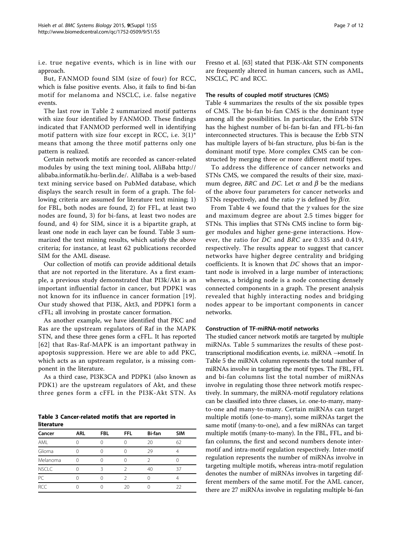i.e. true negative events, which is in line with our approach.

But, FANMOD found SIM (size of four) for RCC, which is false positive events. Also, it fails to find bi-fan motif for melanoma and NSCLC, i.e. false negative events.

The last row in Table [2](#page-4-0) summarized motif patterns with size four identified by FANMOD. These findings indicated that FANMOD performed well in identifying motif pattern with size four except in RCC, i.e. 3(1)\* means that among the three motif patterns only one pattern is realized.

Certain network motifs are recorded as cancer-related modules by using the text mining tool, AliBaba [http://](http://alibaba.informatik.hu-berlin.de/) [alibaba.informatik.hu-berlin.de/](http://alibaba.informatik.hu-berlin.de/). AliBaba is a web-based text mining service based on PubMed database, which displays the search result in form of a graph. The following criteria are assumed for literature text mining; 1) for FBL, both nodes are found, 2) for FFL, at least two nodes are found, 3) for bi-fans, at least two nodes are found, and 4) for SIM, since it is a bipartite graph, at least one node in each layer can be found. Table 3 summarized the text mining results, which satisfy the above criteria; for instance, at least 62 publications recorded SIM for the AML disease.

Our collection of motifs can provide additional details that are not reported in the literature. As a first example, a previous study demonstrated that PI3k/Akt is an important influential factor in cancer, but PDPK1 was not known for its influence in cancer formation [[19\]](#page-10-0). Our study showed that PI3K, Akt3, and PDPK1 form a cFFL; all involving in prostate cancer formation.

As another example, we have identified that PKC and Ras are the upstream regulators of Raf in the MAPK STN, and these three genes form a cFFL. It has reported [[62\]](#page-11-0) that Ras-Raf-MAPK is an important pathway in apoptosis suppression. Here we are able to add PKC, which acts as an upstream regulator, is a missing component in the literature.

As a third case, PI3K3CA and PDPK1 (also known as PDK1) are the upstream regulators of Akt, and these three genes form a cFFL in the PI3K-Akt STN. As

Table 3 Cancer-related motifs that are reported in literature

| Cancer       | ARL | <b>FBL</b> | <b>FFL</b> | <b>Bi-fan</b> | <b>SIM</b> |
|--------------|-----|------------|------------|---------------|------------|
| AML          |     |            |            | 20            | 62         |
| Glioma       |     |            |            | 29            |            |
| Melanoma     | Λ   |            |            |               |            |
| <b>NSCLC</b> |     | Κ          |            | 40            | 37         |
| PC.          |     |            |            |               |            |
| <b>RCC</b>   |     |            | 20         |               | 22         |

Fresno et al. [[63](#page-11-0)] stated that PI3K-Akt STN components are frequently altered in human cancers, such as AML, NSCLC, PC and RCC.

## The results of coupled motif structures (CMS)

Table [4](#page-7-0) summarizes the results of the six possible types of CMS. The bi-fan bi-fan CMS is the dominant type among all the possibilities. In particular, the Erbb STN has the highest number of bi-fan bi-fan and FFL-bi-fan interconnected structures. This is because the Erbb STN has multiple layers of bi-fan structure, plus bi-fan is the dominant motif type. More complex CMS can be constructed by merging three or more different motif types.

To address the difference of cancer networks and STNs CMS, we compared the results of their size, maximum degree, BRC and DC. Let  $\alpha$  and  $\beta$  be the medians of the above four parameters for cancer networks and STNs respectively, and the ratio  $\gamma$  is defined by  $\beta/\alpha$ .

From Table [4](#page-7-0) we found that the  $\gamma$  values for the size and maximum degree are about 2.5 times bigger for STNs. This implies that STNs CMS incline to form bigger modules and higher gene-gene interactions. However, the ratio for DC and BRC are 0.335 and 0.419, respectively. The results appear to suggest that cancer networks have higher degree centrality and bridging coefficients. It is known that DC shows that an important node is involved in a large number of interactions; whereas, a bridging node is a node connecting densely connected components in a graph. The present analysis revealed that highly interacting nodes and bridging nodes appear to be important components in cancer networks.

## Construction of TF-miRNA-motif networks

The studied cancer network motifs are targeted by multiple miRNAs. Table [5](#page-7-0) summarizes the results of these posttranscriptional modification events, i.e. miRNA  $\rightarrow$ motif. In Table [5](#page-7-0) the miRNA column represents the total number of miRNAs involve in targeting the motif types. The FBL, FFL and bi-fan columns list the total number of miRNAs involve in regulating those three network motifs respectively. In summary, the miRNA-motif regulatory relations can be classified into three classes, i.e. one-to-many, manyto-one and many-to-many. Certain miRNAs can target multiple motifs (one-to-many), some miRNAs target the same motif (many-to-one), and a few miRNAs can target multiple motifs (many-to-many). In the FBL, FFL, and bifan columns, the first and second numbers denote intermotif and intra-motif regulation respectively. Inter-motif regulation represents the number of miRNAs involve in targeting multiple motifs, whereas intra-motif regulation denotes the number of miRNAs involves in targeting different members of the same motif. For the AML cancer, there are 27 miRNAs involve in regulating multiple bi-fan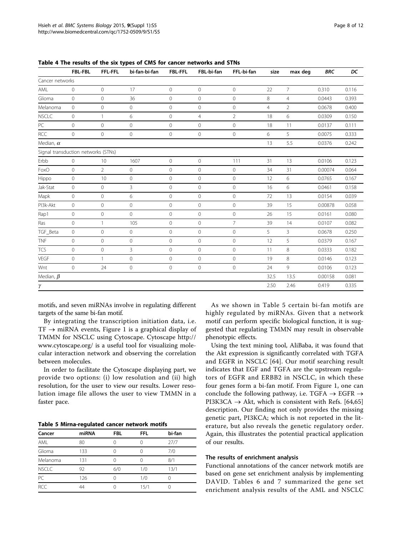|                                     | <b>FBL-FBL</b>      | FFL-FFL             | bi-fan-bi-fan  | <b>FBL-FFL</b> | FBL-bi-fan          | FFL-bi-fan     | size           | max deg        | <b>BRC</b> | DC    |
|-------------------------------------|---------------------|---------------------|----------------|----------------|---------------------|----------------|----------------|----------------|------------|-------|
| Cancer networks                     |                     |                     |                |                |                     |                |                |                |            |       |
| AML                                 | 0                   | $\mathbf 0$         | 17             | $\circ$        | $\mathsf{O}\xspace$ | $\circ$        | 22             | $\overline{7}$ | 0.310      | 0.116 |
| Glioma                              | $\mathbb O$         | $\mathbf 0$         | 36             | $\circ$        | $\mathbf 0$         | $\mathbf{0}$   | 8              | $\overline{4}$ | 0.0443     | 0.393 |
| Melanoma                            | $\overline{0}$      | $\overline{0}$      | $\overline{0}$ | $\overline{0}$ | $\overline{0}$      | $\overline{0}$ | $\overline{4}$ | $\overline{2}$ | 0.0678     | 0.400 |
| <b>NSCLC</b>                        | $\circ$             | $\mathbf{1}$        | 6              | $\overline{0}$ | $\overline{4}$      | $\overline{2}$ | 18             | 6              | 0.0309     | 0.150 |
| PC                                  | $\overline{0}$      | $\overline{0}$      | $\overline{0}$ | $\mathbf 0$    | $\overline{0}$      | $\overline{0}$ | 18             | 11             | 0.0137     | 0.111 |
| RCC                                 | $\mathsf{O}\xspace$ | $\mathsf{O}\xspace$ | $\mathbf 0$    | $\mathbf 0$    | 0                   | $\circ$        | 6              | 5              | 0.0075     | 0.333 |
| Median, $\alpha$                    |                     |                     |                |                |                     |                | 13             | 5.5            | 0.0376     | 0.242 |
| Signal transduction networks (STNs) |                     |                     |                |                |                     |                |                |                |            |       |
| Erbb                                | $\circ$             | 10                  | 1607           | $\mathbf 0$    | $\circ$             | 111            | 31             | 13             | 0.0106     | 0.123 |
| FoxO                                | $\mathsf{O}\xspace$ | $\overline{2}$      | $\overline{0}$ | $\mathbf 0$    | 0                   | $\circ$        | 34             | 31             | 0.00074    | 0.064 |
| Hippo                               | $\overline{0}$      | 10                  | $\overline{0}$ | $\mathbf 0$    | $\overline{0}$      | $\mathbf{0}$   | 12             | 6              | 0.0765     | 0.167 |
| Jak-Stat                            | $\mathsf{O}\xspace$ | $\mathsf{O}\xspace$ | 3              | $\mathbf 0$    | $\overline{0}$      | $\mathbf 0$    | 16             | 6              | 0.0461     | 0.158 |
| Mapk                                | $\mathsf{O}\xspace$ | $\overline{0}$      | 6              | $\mathbf 0$    | $\overline{0}$      | $\Omega$       | 72             | 13             | 0.0154     | 0.039 |
| PI3k-Akt                            | $\mathsf{O}\xspace$ | $\overline{0}$      | 0              | $\mathbf 0$    | $\overline{0}$      | $\circ$        | 39             | 15             | 0.00878    | 0.058 |
| Rap1                                | 0                   | $\overline{0}$      | $\Omega$       | $\mathbf 0$    | $\overline{0}$      | $\circ$        | 26             | 15             | 0.0161     | 0.080 |
| Ras                                 | $\overline{0}$      | $\mathbf{1}$        | 105            | $\mathbf 0$    | $\overline{0}$      | $\overline{7}$ | 39             | 14             | 0.0107     | 0.082 |
| TGF_Beta                            | $\mathbb O$         | $\mathbf 0$         | $\overline{0}$ | $\mathbf 0$    | 0                   | $\circ$        | 5              | 3              | 0.0678     | 0.250 |
| $\ensuremath{\mathsf{TNF}}$         | $\mathsf{O}\xspace$ | $\overline{0}$      | $\overline{0}$ | $\mathbf 0$    | $\overline{0}$      | $\circ$        | 12             | 5              | 0.0379     | 0.167 |
| <b>TCS</b>                          | $\mathsf{O}\xspace$ | $\mathbf 0$         | 3              | $\mathbf 0$    | $\mathbf 0$         | $\overline{0}$ | 11             | 8              | 0.0333     | 0.182 |
| VEGF                                | $\overline{0}$      | $\mathbf{1}$        | $\overline{0}$ | $\mathbf 0$    | 0                   | $\mathbf 0$    | 19             | 8              | 0.0146     | 0.123 |
| Wnt                                 | $\overline{0}$      | 24                  | $\overline{0}$ | $\overline{0}$ | $\overline{0}$      | $\mathbf 0$    | 24             | 9              | 0.0106     | 0.123 |
| Median, $\beta$                     |                     |                     |                |                |                     |                | 32.5           | 13.5           | 0.00158    | 0.081 |
| $\gamma$                            |                     |                     |                |                |                     |                | 2.50           | 2.46           | 0.419      | 0.335 |

<span id="page-7-0"></span>Table 4 The results of the six types of CMS for cancer networks and STNs

motifs, and seven miRNAs involve in regulating different targets of the same bi-fan motif.

By integrating the transcription initiation data, i.e.  $TF \rightarrow m\text{iRNA}$  events, Figure [1](#page-8-0) is a graphical display of TMMN for NSCLC using Cytoscape. Cytoscape [http://](http://www.cytoscape.org/) [www.cytoscape.org/](http://www.cytoscape.org/) is a useful tool for visualizing molecular interaction network and observing the correlation between molecules.

In order to facilitate the Cytoscape displaying part, we provide two options: (i) low resolution and (ii) high resolution, for the user to view our results. Lower resolution image file allows the user to view TMMN in a faster pace.

Table 5 Mirna-regulated cancer network motifs

| Cancer       | miRNA | <b>FBL</b> | <b>FFL</b> | bi-fan |
|--------------|-------|------------|------------|--------|
| AML          | 80    |            | 0          | 27/7   |
| Glioma       | 133   |            | 0          | 7/0    |
| Melanoma     | 131   | O          | 0          | 8/1    |
| <b>NSCLC</b> | 92    | 6/0        | 1/0        | 13/1   |
| PC           | 126   |            | 1/0        |        |
| <b>RCC</b>   | 44    |            | 15/1       |        |

As we shown in Table 5 certain bi-fan motifs are highly regulated by miRNAs. Given that a network motif can perform specific biological function, it is suggested that regulating TMMN may result in observable phenotypic effects.

Using the text mining tool, AliBaba, it was found that the Akt expression is significantly correlated with TGFA and EGFR in NSCLC [\[64\]](#page-11-0). Our motif searching result indicates that EGF and TGFA are the upstream regulators of EGFR and ERBB2 in NSCLC, in which these four genes form a bi-fan motif. From Figure [1,](#page-8-0) one can conclude the following pathway, i.e. TGFA  $\rightarrow$  EGFR  $\rightarrow$ PI3K3CA  $\rightarrow$  Akt, which is consistent with Refs. [\[64,65](#page-11-0)] description. Our finding not only provides the missing genetic part, PI3KCA; which is not reported in the literature, but also reveals the genetic regulatory order. Again, this illustrates the potential practical application of our results.

#### The results of enrichment analysis

Functional annotations of the cancer network motifs are based on gene set enrichment analysis by implementing DAVID. Tables [6](#page-8-0) and [7](#page-9-0) summarized the gene set enrichment analysis results of the AML and NSCLC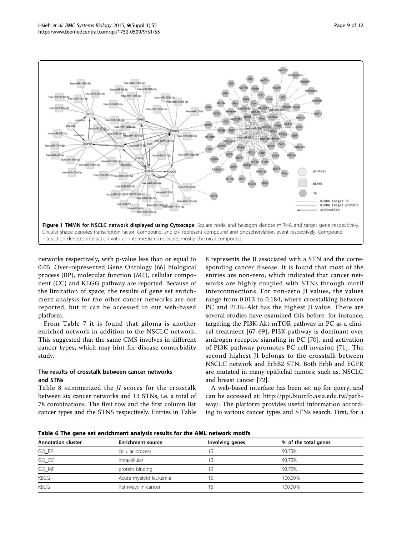<span id="page-8-0"></span>

networks respectively, with p-value less than or equal to 0.05. Over-represented Gene Ontology [[66](#page-11-0)] biological process (BP), molecular function (MF), cellular component (CC) and KEGG pathway are reported. Because of the limitation of space, the results of gene set enrichment analysis for the other cancer networks are not reported, but it can be accessed in our web-based platform.

From Table [7](#page-9-0) it is found that giloma is another enriched network in addition to the NSCLC network. This suggested that the same CMS involves in different cancer types, which may hint for disease comorbidity study.

# The results of crosstalk between cancer networks and STNs

Table [8](#page-9-0) summarized the JI scores for the crosstalk between six cancer networks and 13 STNs, i.e. a total of 78 combinations. The first row and the first column list cancer types and the STNS respectively. Entries in Table

[8](#page-9-0) represents the JI associated with a STN and the corresponding cancer disease. It is found that most of the entries are non-zero, which indicated that cancer networks are highly coupled with STNs through motif interconnections. For non-zero JI values, the values range from 0.013 to 0.184, where crosstalking between PC and PI3K-Akt has the highest JI value. There are several studies have examined this before; for instance, targeting the PI3K-Akt-mTOR pathway in PC as a clinical treatment [[67](#page-11-0)-[69](#page-11-0)], PI3K pathway is dominant over androgen receptor signaling in PC [[70](#page-11-0)], and activation of PI3K pathway promotes PC cell invasion [[71](#page-11-0)]. The second highest JI belongs to the crosstalk between NSCLC network and ErbB2 STN. Both Erbb and EGFR are mutated in many epithelial tumors; such as, NSCLC and breast cancer [[72](#page-11-0)].

A web-based interface has been set up for query, and can be accessed at: [http://ppi.bioinfo.asia.edu.tw/path](http://ppi.bioinfo.asia.edu.tw/pathway/)[way/](http://ppi.bioinfo.asia.edu.tw/pathway/). The platform provides useful information according to various cancer types and STNs search. First, for a

Table 6 The gene set enrichment analysis results for the AML network motifs

| <b>Annotation cluster</b> | <b>Enrichment source</b> | Involving genes | % of the total genes |  |
|---------------------------|--------------------------|-----------------|----------------------|--|
| GO_BP                     | cellular process         |                 | 93.75%               |  |
| $GO\_CC$                  | intracellular            |                 | 93.75%               |  |
| GO_MF                     | protein binding          |                 | 93.75%               |  |
| KEGG                      | Acute myeloid leukemia   | 16              | 100.00%              |  |
| KEGG                      | Pathways in cancer       | 16              | 100.00%              |  |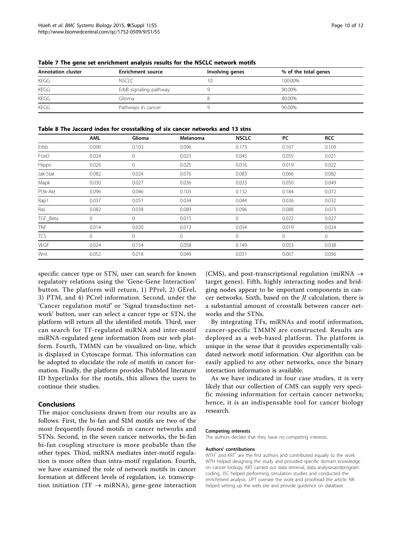| <b>Annotation cluster</b> | <b>Enrichment source</b> | Involving genes | % of the total genes |
|---------------------------|--------------------------|-----------------|----------------------|
| KEGG                      | nsci c                   |                 | 100.00%              |
| KEGG                      | ErbB signaling pathway   |                 | 90.00%               |
| KEGG                      | Glioma                   |                 | 80.00%               |
| KEGG                      | Pathways in cancer       |                 | 90.00%               |

<span id="page-9-0"></span>Table 7 The gene set enrichment analysis results for the NSCLC network motifs

Table 8 The Jaccard index for crosstalking of six cancer networks and 13 stns

|             | <b>AML</b> | Glioma | Melanoma | <b>NSCLC</b> | PC      | <b>RCC</b> |  |
|-------------|------------|--------|----------|--------------|---------|------------|--|
| Erbb        | 0.090      | 0.103  | 0.096    | 0.173        | 0.167   | 0.109      |  |
| FoxO        | 0.024      | 0      | 0.023    | 0.045        | 0.055   | 0.021      |  |
| Hippo       | 0.026      | 0      | 0.025    | 0.016        | 0.019   | 0.022      |  |
| Jak-Stat    | 0.082      | 0.024  | 0.076    | 0.083        | 0.066   | 0.082      |  |
| Mapk        | 0.030      | 0.027  | 0.036    | 0.033        | 0.050   | 0.049      |  |
| PI3k-Akt    | 0.096      | 0.046  | 0.103    | 0.132        | 0.184   | 0.072      |  |
| Rap1        | 0.037      | 0.051  | 0.034    | 0.044        | 0.036   | 0.032      |  |
| Ras         | 0.082      | 0.038  | 0.089    | 0.096        | 0.088   | 0.073      |  |
| TGF_Beta    | $\circ$    | 0      | 0.015    | $\circ$      | 0.022   | 0.027      |  |
| <b>TNF</b>  | 0.014      | 0.020  | 0.013    | 0.034        | 0.019   | 0.024      |  |
| <b>TCS</b>  | $\circ$    | 0      | 0        | $\circ$      | $\circ$ | 0          |  |
| <b>VEGF</b> | 0.024      | 0.154  | 0.058    | 0.149        | 0.053   | 0.038      |  |
| Wnt         | 0.052      | 0.018  | 0.049    | 0.031        | 0.067   | 0.056      |  |

specific cancer type or STN, user can search for known regulatory relations using the 'Gene-Gene Interaction' button. The platform will return, 1) PPrel, 2) GErel, 3) PTM, and 4) PCrel information. Second, under the 'Cancer regulation motif' or 'Signal transduction network' button, user can select a cancer type or STN, the platform will return all the identified motifs. Third, user can search for TF-regulated miRNA and inter-motif miRNA-regulated gene information from our web platform. Fourth, TMMN can be visualized on-line, which is displayed in Cytoscape format. This information can be adopted to elucidate the role of motifs in cancer formation. Finally, the platform provides PubMed literature ID hyperlinks for the motifs, this allows the users to continue their studies.

### Conclusions

The major conclusions drawn from our results are as follows. First, the bi-fan and SIM motifs are two of the most frequently found motifs in cancer networks and STNs. Second, in the seven cancer networks, the bi-fan bi-fan coupling structure is more probable than the other types. Third, miRNA mediates inter-motif regulation is more often than intra-motif regulation. Fourth, we have examined the role of network motifs in cancer formation at different levels of regulation, i.e. transcription initiation (TF  $\rightarrow$  miRNA), gene-gene interaction

(CMS), and post-transcriptional regulation (miRNA  $\rightarrow$ target genes). Fifth, highly interacting nodes and bridging nodes appear to be important components in cancer networks. Sixth, based on the JI calculation, there is a substantial amount of crosstalk between cancer networks and the STNs.

By integrating TFs, miRNAs and motif information, cancer-specific TMMN are constructed. Results are deployed as a web-based platform. The platform is unique in the sense that it provides experimentally validated network motif information. Our algorithm can be easily applied to any other networks, once the binary interaction information is available.

As we have indicated in four case studies, it is very likely that our collection of CMS can supply very specific missing information for certain cancer networks; hence, it is an indispensable tool for cancer biology research.

#### Competing interests

The authors declare that they have no competing interests.

#### Authors' contributions

WTH<sup>\*</sup> and KRT<sup>\*</sup> are the first authors and contributed equally to the work. WTH helped designing the study and provided specific domain knowledge on cancer biology. KRT carried out data retrieval, data analysesandprogram coding. JSC helped performing simulation studies and conducted the enrichment analysis. JJPT oversee the work and proofread the article. NK helped setting up the web site and provide guidence on database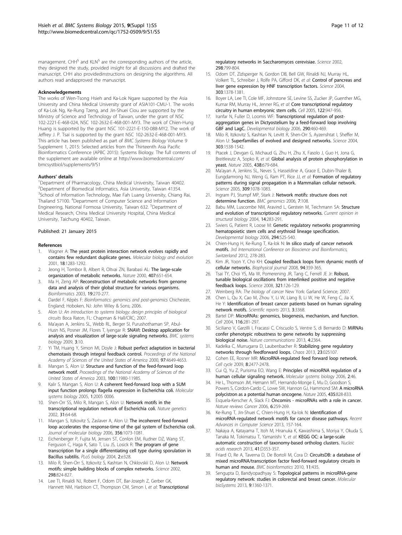<span id="page-10-0"></span>management. CHH $<sup>§</sup>$  and KLN $<sup>§</sup>$  are the corresponding authors of the article,</sup></sup> they designed the study, provided insight for all discussions and drafted the manuscript. CHH also providedinstructions on designing the algorithms. All authors read andapproved the manuscript.

#### Acknowledgements

The works of Wen-Tsong Hsieh and Ka-Lok Ngare supported by the Asia University and China Medical University grant of ASIA101-CMU-1. The works of Ka-Lok Ng, Ke-Rung Tzeng, and Jin-Shuei Ciou are supported by the Ministry of Science and Technology of Taiwan, under the grant of NSC 102-2221-E-468-024, NSC 102-2632-E-468-001-MY3. The work of Chien-Hung Huang is supported by the grant NSC 101-2221-E-150-088-MY2. The work of Jeffrey J. P. Tsai is supported by the grant NSC 102-2632-E-468-001-MY3. This article has been published as part of BMC Systems Biology Volume 9 Supplement 1, 2015: Selected articles from the Thirteenth Asia Pacific Bioinformatics Conference (APBC 2015): Systems Biology. The full contents of the supplement are available online at [http://www.biomedcentral.com/](http://www.biomedcentral.com/bmcsystbiol/supplements/9/S1) [bmcsystbiol/supplements/9/S1](http://www.biomedcentral.com/bmcsystbiol/supplements/9/S1)

#### Authors' details <sup>1</sup>

<sup>1</sup>Department of Pharmacology, China Medical University, Taiwan 40402. 2 Department of Biomedical Informatics, Asia University, Taiwan 41354. <sup>3</sup>School of Information Technology, Mae Fah Luang University, Chiang Rai, Thailand 57100. <sup>4</sup>Department of Computer Science and Information Engineering, National Formosa University, Taiwan 632. <sup>5</sup>Department of Medical Research, China Medical University Hospital, China Medical University, Taichung 40402, Taiwan.

#### Published: 21 January 2015

#### References

- 1. Wagner A: [The yeast protein interaction network evolves rapidly and](http://www.ncbi.nlm.nih.gov/pubmed/11420367?dopt=Abstract) [contains few redundant duplicate genes.](http://www.ncbi.nlm.nih.gov/pubmed/11420367?dopt=Abstract) Molecular biology and evolution 2001, 18:1283-1292.
- 2. Jeong H, Tombor B, Albert R, Oltvai ZN, Barabasi AL: [The large-scale](http://www.ncbi.nlm.nih.gov/pubmed/11034217?dopt=Abstract) [organization of metabolic networks.](http://www.ncbi.nlm.nih.gov/pubmed/11034217?dopt=Abstract) Nature 2000, 407:651-654.
- Ma H, Zeng AP: [Reconstruction of metabolic networks from genome](http://www.ncbi.nlm.nih.gov/pubmed/12538249?dopt=Abstract) [data and analysis of their global structure for various organisms.](http://www.ncbi.nlm.nih.gov/pubmed/12538249?dopt=Abstract) Bioinformatics 2003, 19:270-277.
- 4. Dardel F, Képès F: Bioinformatics: genomics and post-genomics Chichester, England; Hoboken, NJ: John Wiley & Sons; 2006.
- 5. Alon U: An introduction to systems biology: design principles of biological circuits Boca Raton, FL: Chapman & Hall/CRC; 2007.
- 6. Ma'ayan A, Jenkins SL, Webb RL, Berger SI, Purushothaman SP, Abul-Husn NS, Posner JM, Flores T, Iyengar R: [SNAVI: Desktop application for](http://www.ncbi.nlm.nih.gov/pubmed/19154595?dopt=Abstract) [analysis and visualization of large-scale signaling networks.](http://www.ncbi.nlm.nih.gov/pubmed/19154595?dopt=Abstract) BMC systems biology 2009, 3:10.
- 7. Yi TM, Huang Y, Simon MI, Doyle J: [Robust perfect adaptation in bacterial](http://www.ncbi.nlm.nih.gov/pubmed/10781070?dopt=Abstract) [chemotaxis through integral feedback control.](http://www.ncbi.nlm.nih.gov/pubmed/10781070?dopt=Abstract) Proceedings of the National Academy of Sciences of the United States of America 2000, 97:4649-4653.
- 8. Mangan S, Alon U: [Structure and function of the feed-forward loop](http://www.ncbi.nlm.nih.gov/pubmed/14530388?dopt=Abstract) [network motif.](http://www.ncbi.nlm.nih.gov/pubmed/14530388?dopt=Abstract) Proceedings of the National Academy of Sciences of the United States of America 2003, 100:11980-11985.
- 9. Kalir S, Mangan S, Alon U: [A coherent feed-forward loop with a SUM](http://www.ncbi.nlm.nih.gov/pubmed/16729041?dopt=Abstract) [input function prolongs flagella expression in Escherichia coli.](http://www.ncbi.nlm.nih.gov/pubmed/16729041?dopt=Abstract) Molecular systems biology 2005, 1:2005 0006.
- 10. Shen-Orr SS, Milo R, Mangan S, Alon U: [Network motifs in the](http://www.ncbi.nlm.nih.gov/pubmed/11967538?dopt=Abstract) [transcriptional regulation network of Escherichia coli.](http://www.ncbi.nlm.nih.gov/pubmed/11967538?dopt=Abstract) Nature genetics 2002, 31:64-68.
- 11. Mangan S, Itzkovitz S, Zaslaver A, Alon U: [The incoherent feed-forward](http://www.ncbi.nlm.nih.gov/pubmed/16406067?dopt=Abstract) [loop accelerates the response-time of the gal system of Escherichia coli.](http://www.ncbi.nlm.nih.gov/pubmed/16406067?dopt=Abstract) Journal of molecular biology 2006, 356:1073-1081.
- 12. Eichenberger P, Fujita M, Jensen ST, Conlon EM, Rudner DZ, Wang ST, Ferguson C, Haga K, Sato T, Liu JS, Losick R: [The program of gene](http://www.ncbi.nlm.nih.gov/pubmed/15383836?dopt=Abstract) [transcription for a single differentiating cell type during sporulation in](http://www.ncbi.nlm.nih.gov/pubmed/15383836?dopt=Abstract) [Bacillus subtilis.](http://www.ncbi.nlm.nih.gov/pubmed/15383836?dopt=Abstract) PLoS biology 2004, 2:e328.
- 13. Milo R, Shen-Orr S, Itzkovitz S, Kashtan N, Chklovskii D, Alon U: [Network](http://www.ncbi.nlm.nih.gov/pubmed/12399590?dopt=Abstract) [motifs: simple building blocks of complex networks.](http://www.ncbi.nlm.nih.gov/pubmed/12399590?dopt=Abstract) Science 2002, 298:824-827.
- 14. Lee TI, Rinaldi NJ, Robert F, Odom DT, Bar-Joseph Z, Gerber GK, Hannett NM, Harbison CT, Thompson CM, Simon I, et al: [Transcriptional](http://www.ncbi.nlm.nih.gov/pubmed/12399584?dopt=Abstract)

[regulatory networks in Saccharomyces cerevisiae.](http://www.ncbi.nlm.nih.gov/pubmed/12399584?dopt=Abstract) Science 2002, 298:799-804.

- 15. Odom DT, Zizlsperger N, Gordon DB, Bell GW, Rinaldi NJ, Murray HL, Volkert TL, Schreiber J, Rolfe PA, Gifford DK, et al: [Control of pancreas and](http://www.ncbi.nlm.nih.gov/pubmed/14988562?dopt=Abstract) [liver gene expression by HNF transcription factors.](http://www.ncbi.nlm.nih.gov/pubmed/14988562?dopt=Abstract) Science 2004, 303:1378-1381.
- 16. Boyer LA, Lee TI, Cole MF, Johnstone SE, Levine SS, Zucker JP, Guenther MG, Kumar RM, Murray HL, Jenner RG, et al: [Core transcriptional regulatory](http://www.ncbi.nlm.nih.gov/pubmed/16153702?dopt=Abstract) [circuitry in human embryonic stem cells.](http://www.ncbi.nlm.nih.gov/pubmed/16153702?dopt=Abstract) Cell 2005, 122:947-956.
- 17. Iranfar N, Fuller D, Loomis WF: [Transcriptional regulation of post](http://www.ncbi.nlm.nih.gov/pubmed/16386729?dopt=Abstract)[aggregation genes in Dictyostelium by a feed-forward loop involving](http://www.ncbi.nlm.nih.gov/pubmed/16386729?dopt=Abstract) [GBF and LagC.](http://www.ncbi.nlm.nih.gov/pubmed/16386729?dopt=Abstract) Developmental biology 2006, 290:460-469.
- 18. Milo R, Itzkovitz S, Kashtan N, Levitt R, Shen-Orr S, Ayzenshtat I, Sheffer M, Alon U: [Superfamilies of evolved and designed networks.](http://www.ncbi.nlm.nih.gov/pubmed/15001784?dopt=Abstract) Science 2004, 303:1538-1542.
- 19. Ptacek J, Devgan G, Michaud G, Zhu H, Zhu X, Fasolo J, Guo H, Jona G, Breitkreutz A, Sopko R, et al: [Global analysis of protein phosphorylation in](http://www.ncbi.nlm.nih.gov/pubmed/16319894?dopt=Abstract) [yeast.](http://www.ncbi.nlm.nih.gov/pubmed/16319894?dopt=Abstract) Nature 2005, 438:679-684.
- 20. Ma'ayan A, Jenkins SL, Neves S, Hasseldine A, Grace E, Dubin-Thaler B, Eungdamrong NJ, Weng G, Ram PT, Rice JJ, et al: [Formation of regulatory](http://www.ncbi.nlm.nih.gov/pubmed/16099987?dopt=Abstract) [patterns during signal propagation in a Mammalian cellular network.](http://www.ncbi.nlm.nih.gov/pubmed/16099987?dopt=Abstract) Science 2005, 309:1078-1083.
- 21. Ingram PJ, Stumpf MP, Stark J: [Network motifs: structure does not](http://www.ncbi.nlm.nih.gov/pubmed/16677373?dopt=Abstract) [determine function.](http://www.ncbi.nlm.nih.gov/pubmed/16677373?dopt=Abstract) BMC genomics 2006, 7:108.
- Babu MM, Luscombe NM, Aravind L, Gerstein M, Teichmann SA: [Structure](http://www.ncbi.nlm.nih.gov/pubmed/15193307?dopt=Abstract) [and evolution of transcriptional regulatory networks.](http://www.ncbi.nlm.nih.gov/pubmed/15193307?dopt=Abstract) Current opinion in structural biology 2004, 14:283-291.
- 23. Swiers G, Patient R, Loose M: [Genetic regulatory networks programming](http://www.ncbi.nlm.nih.gov/pubmed/16626682?dopt=Abstract) [hematopoietic stem cells and erythroid lineage specification.](http://www.ncbi.nlm.nih.gov/pubmed/16626682?dopt=Abstract) Developmental biology 2006, 294:525-540.
- 24. Chien-Hung H, Ke-Rung T, Ka-lok N: In silico study of cancer network motifs. 3rd International Conference on Bioscience and Bioinformatics, Switzerland 2012, 278-283.
- 25. Kim JR, Yoon Y, Cho KH: [Coupled feedback loops form dynamic motifs of](http://www.ncbi.nlm.nih.gov/pubmed/17951298?dopt=Abstract) [cellular networks.](http://www.ncbi.nlm.nih.gov/pubmed/17951298?dopt=Abstract) Biophysical journal 2008, 94:359-365.
- 26. Tsai TY, Choi YS, Ma W, Pomerening JR, Tang C, Ferrell JE Jr: [Robust,](http://www.ncbi.nlm.nih.gov/pubmed/18599789?dopt=Abstract) [tunable biological oscillations from interlinked positive and negative](http://www.ncbi.nlm.nih.gov/pubmed/18599789?dopt=Abstract) [feedback loops.](http://www.ncbi.nlm.nih.gov/pubmed/18599789?dopt=Abstract) Science 2008, 321:126-129.
- 27. Weinberg RA: The biology of cancer New York: Garland Science; 2007.
- 28. Chen L, Qu X, Cao M, Zhou Y, Li W, Liang B, Li W, He W, Feng C, Jia X, He Y: [Identification of breast cancer patients based on human signaling](http://www.ncbi.nlm.nih.gov/pubmed/24284521?dopt=Abstract) [network motifs.](http://www.ncbi.nlm.nih.gov/pubmed/24284521?dopt=Abstract) Scientific reports 2013, 3:3368.
- 29. Bartel DP: [MicroRNAs: genomics, biogenesis, mechanism, and function.](http://www.ncbi.nlm.nih.gov/pubmed/14744438?dopt=Abstract) Cell 2004, 116:281-297.
- 30. Siciliano V, Garzilli I, Fracassi C, Criscuolo S, Ventre S, di Bernardo D: [MiRNAs](http://www.ncbi.nlm.nih.gov/pubmed/24077216?dopt=Abstract) [confer phenotypic robustness to gene networks by suppressing](http://www.ncbi.nlm.nih.gov/pubmed/24077216?dopt=Abstract) [biological noise.](http://www.ncbi.nlm.nih.gov/pubmed/24077216?dopt=Abstract) Nature communications 2013, 4:2364.
- 31. Kadelka C, Murrugarra D, Laubenbacher R: [Stabilizing gene regulatory](http://www.ncbi.nlm.nih.gov/pubmed/23822505?dopt=Abstract) [networks through feedforward loops.](http://www.ncbi.nlm.nih.gov/pubmed/23822505?dopt=Abstract) Chaos 2013, 23:025107.
- 32. Cohen EE, Rosner MR: [MicroRNA-regulated feed forward loop network.](http://www.ncbi.nlm.nih.gov/pubmed/19657226?dopt=Abstract) Cell cycle 2009, 8:2477-2478.
- 33. Cui Q, Yu Z, Purisima EO, Wang E: [Principles of microRNA regulation of a](http://www.ncbi.nlm.nih.gov/pubmed/16969338?dopt=Abstract) [human cellular signaling network.](http://www.ncbi.nlm.nih.gov/pubmed/16969338?dopt=Abstract) Molecular systems biology 2006, 2:46.
- 34. He L, Thomson JM, Hemann MT, Hernando-Monge E, Mu D, Goodson S, Powers S, Cordon-Cardo C, Lowe SW, Hannon GJ, Hammond SM: [A microRNA](http://www.ncbi.nlm.nih.gov/pubmed/15944707?dopt=Abstract) [polycistron as a potential human oncogene.](http://www.ncbi.nlm.nih.gov/pubmed/15944707?dopt=Abstract) Nature 2005, 435:828-833.
- 35. Esquela-Kerscher A, Slack FJ: [Oncomirs microRNAs with a role in cancer.](http://www.ncbi.nlm.nih.gov/pubmed/16557279?dopt=Abstract) Nature reviews Cancer 2006, 6:259-269.
- 36. Ke-Rung T, Jin-Shuei C, Chien-Hung H, Ka-lok N: Identification of microRNA-regulated network motifs for cancer disease pathways. Recent Advances in Computer Science 2013, 157-164.
- 37. Nakaya A, Katayama T, Itoh M, Hiranuka K, Kawashima S, Moriya Y, Okuda S, Tanaka M, Tokimatsu T, Yamanishi Y, et al: [KEGG OC: a large-scale](http://www.ncbi.nlm.nih.gov/pubmed/23193276?dopt=Abstract) [automatic construction of taxonomy-based ortholog clusters.](http://www.ncbi.nlm.nih.gov/pubmed/23193276?dopt=Abstract) Nucleic acids research 2013, 41:D353-357.
- 38. Friard O, Re A, Taverna D, De Bortoli M, Cora D: [CircuitsDB: a database of](http://www.ncbi.nlm.nih.gov/pubmed/20731828?dopt=Abstract) [mixed microRNA/transcription factor feed-forward regulatory circuits in](http://www.ncbi.nlm.nih.gov/pubmed/20731828?dopt=Abstract) [human and mouse.](http://www.ncbi.nlm.nih.gov/pubmed/20731828?dopt=Abstract) BMC bioinformatics 2010, 11:435
- 39. Sengupta D, Bandyopadhyay S: [Topological patterns in microRNA-gene](http://www.ncbi.nlm.nih.gov/pubmed/23475160?dopt=Abstract) [regulatory network: studies in colorectal and breast cancer.](http://www.ncbi.nlm.nih.gov/pubmed/23475160?dopt=Abstract) Molecular bioSystems 2013, 9:1360-1371.